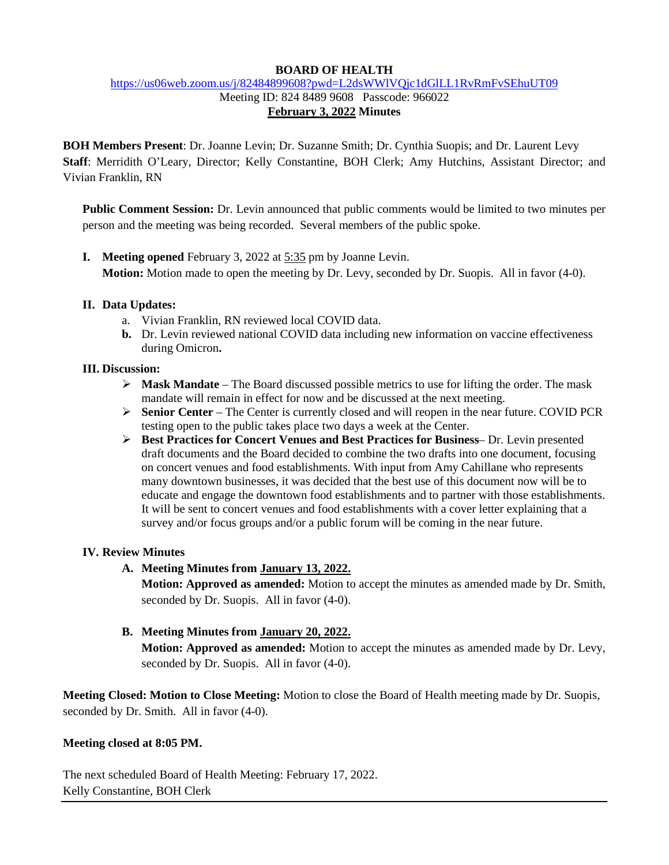## **BOARD OF HEALTH**

# <https://us06web.zoom.us/j/82484899608?pwd=L2dsWWlVQjc1dGlLL1RvRmFvSEhuUT09> Meeting ID: 824 8489 9608 Passcode: 966022

**February 3, 2022 Minutes**

**BOH Members Present**: Dr. Joanne Levin; Dr. Suzanne Smith; Dr. Cynthia Suopis; and Dr. Laurent Levy **Staff**: Merridith O'Leary, Director; Kelly Constantine, BOH Clerk; Amy Hutchins, Assistant Director; and Vivian Franklin, RN

**Public Comment Session:** Dr. Levin announced that public comments would be limited to two minutes per person and the meeting was being recorded. Several members of the public spoke.

**I. Meeting opened** February 3, 2022 at 5:35 pm by Joanne Levin. **Motion:** Motion made to open the meeting by Dr. Levy, seconded by Dr. Suopis. All in favor (4-0).

# **II. Data Updates:**

- a. Vivian Franklin, RN reviewed local COVID data.
- **b.** Dr. Levin reviewed national COVID data including new information on vaccine effectiveness during Omicron**.**

#### **III. Discussion:**

- **Mask Mandate** The Board discussed possible metrics to use for lifting the order. The mask mandate will remain in effect for now and be discussed at the next meeting.
- **►** Senior Center The Center is currently closed and will reopen in the near future. COVID PCR testing open to the public takes place two days a week at the Center.
- **Best Practices for Concert Venues and Best Practices for Business** Dr. Levin presented draft documents and the Board decided to combine the two drafts into one document, focusing on concert venues and food establishments. With input from Amy Cahillane who represents many downtown businesses, it was decided that the best use of this document now will be to educate and engage the downtown food establishments and to partner with those establishments. It will be sent to concert venues and food establishments with a cover letter explaining that a survey and/or focus groups and/or a public forum will be coming in the near future.

# **IV. Review Minutes**

**A. Meeting Minutes from January 13, 2022.**

**Motion: Approved as amended:** Motion to accept the minutes as amended made by Dr. Smith, seconded by Dr. Suopis. All in favor (4-0).

**B. Meeting Minutes from January 20, 2022.**

**Motion: Approved as amended:** Motion to accept the minutes as amended made by Dr. Levy, seconded by Dr. Suopis. All in favor (4-0).

**Meeting Closed: Motion to Close Meeting:** Motion to close the Board of Health meeting made by Dr. Suopis, seconded by Dr. Smith. All in favor (4-0).

#### **Meeting closed at 8:05 PM.**

The next scheduled Board of Health Meeting: February 17, 2022. Kelly Constantine, BOH Clerk